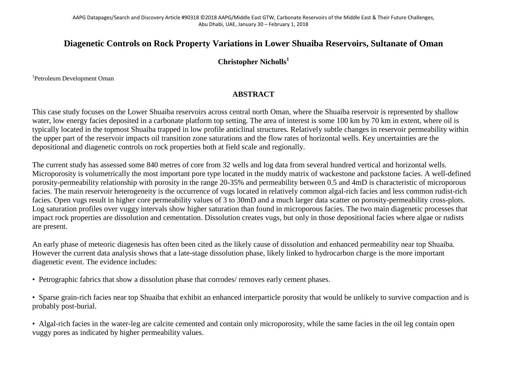## **Diagenetic Controls on Rock Property Variations in Lower Shuaiba Reservoirs, Sultanate of Oman**

## **Christopher Nicholls<sup>1</sup>**

1 Petroleum Development Oman

## **ABSTRACT**

This case study focuses on the Lower Shuaiba reservoirs across central north Oman, where the Shuaiba reservoir is represented by shallow water, low energy facies deposited in a carbonate platform top setting. The area of interest is some 100 km by 70 km in extent, where oil is typically located in the topmost Shuaiba trapped in low profile anticlinal structures. Relatively subtle changes in reservoir permeability within the upper part of the reservoir impacts oil transition zone saturations and the flow rates of horizontal wells. Key uncertainties are the depositional and diagenetic controls on rock properties both at field scale and regionally.

The current study has assessed some 840 metres of core from 32 wells and log data from several hundred vertical and horizontal wells. Microporosity is volumetrically the most important pore type located in the muddy matrix of wackestone and packstone facies. A well-defined porosity-permeability relationship with porosity in the range 20-35% and permeability between 0.5 and 4mD is characteristic of microporous facies. The main reservoir heterogeneity is the occurrence of vugs located in relatively common algal-rich facies and less common rudist-rich facies. Open vugs result in higher core permeability values of 3 to 30mD and a much larger data scatter on porosity-permeability cross-plots. Log saturation profiles over vuggy intervals show higher saturation than found in microporous facies. The two main diagenetic processes that impact rock properties are dissolution and cementation. Dissolution creates vugs, but only in those depositional facies where algae or rudists are present.

An early phase of meteoric diagenesis has often been cited as the likely cause of dissolution and enhanced permeability near top Shuaiba. However the current data analysis shows that a late-stage dissolution phase, likely linked to hydrocarbon charge is the more important diagenetic event. The evidence includes:

• Petrographic fabrics that show a dissolution phase that corrodes/ removes early cement phases.

• Sparse grain-rich facies near top Shuaiba that exhibit an enhanced interparticle porosity that would be unlikely to survive compaction and is probably post-burial.

• Algal-rich facies in the water-leg are calcite cemented and contain only microporosity, while the same facies in the oil leg contain open vuggy pores as indicated by higher permeability values.